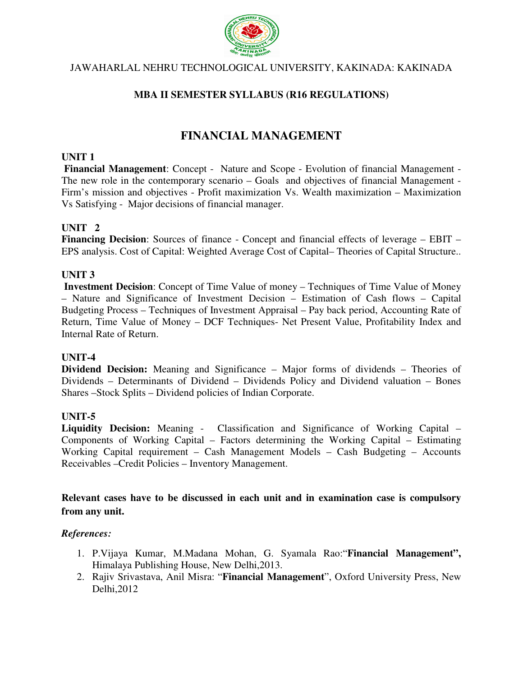

# JAWAHARLAL NEHRU TECHNOLOGICAL UNIVERSITY, KAKINADA: KAKINADA

# **MBA II SEMESTER SYLLABUS (R16 REGULATIONS)**

# **FINANCIAL MANAGEMENT**

## **UNIT 1**

 **Financial Management**: Concept - Nature and Scope - Evolution of financial Management - The new role in the contemporary scenario – Goals and objectives of financial Management - Firm's mission and objectives - Profit maximization Vs. Wealth maximization – Maximization Vs Satisfying - Major decisions of financial manager.

## **UNIT 2**

Financing Decision: Sources of finance - Concept and financial effects of leverage – EBIT – EPS analysis. Cost of Capital: Weighted Average Cost of Capital– Theories of Capital Structure..

## **UNIT 3**

**Investment Decision**: Concept of Time Value of money – Techniques of Time Value of Money – Nature and Significance of Investment Decision – Estimation of Cash flows – Capital Budgeting Process – Techniques of Investment Appraisal – Pay back period, Accounting Rate of Return, Time Value of Money – DCF Techniques- Net Present Value, Profitability Index and Internal Rate of Return.

## **UNIT-4**

**Dividend Decision:** Meaning and Significance – Major forms of dividends – Theories of Dividends – Determinants of Dividend – Dividends Policy and Dividend valuation – Bones Shares –Stock Splits – Dividend policies of Indian Corporate.

## **UNIT-5**

**Liquidity Decision:** Meaning - Classification and Significance of Working Capital – Components of Working Capital – Factors determining the Working Capital – Estimating Working Capital requirement – Cash Management Models – Cash Budgeting – Accounts Receivables –Credit Policies – Inventory Management.

## **Relevant cases have to be discussed in each unit and in examination case is compulsory from any unit.**

- 1. P.Vijaya Kumar, M.Madana Mohan, G. Syamala Rao:"**Financial Management",**  Himalaya Publishing House, New Delhi,2013.
- 2. Rajiv Srivastava, Anil Misra: "**Financial Management**", Oxford University Press, New Delhi,2012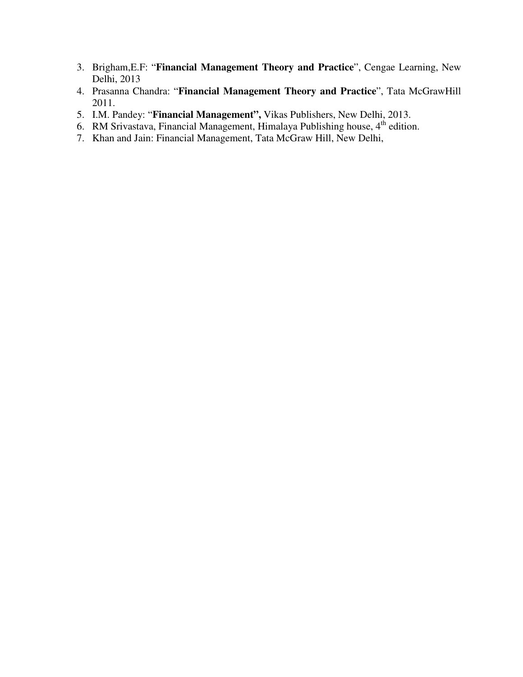- 3. Brigham,E.F: "**Financial Management Theory and Practice**", Cengae Learning, New Delhi, 2013
- 4. Prasanna Chandra: "**Financial Management Theory and Practice**", Tata McGrawHill 2011.
- 5. I.M. Pandey: "**Financial Management",** Vikas Publishers, New Delhi, 2013.
- 6. RM Srivastava, Financial Management, Himalaya Publishing house, 4<sup>th</sup> edition.
- 7. Khan and Jain: Financial Management, Tata McGraw Hill, New Delhi,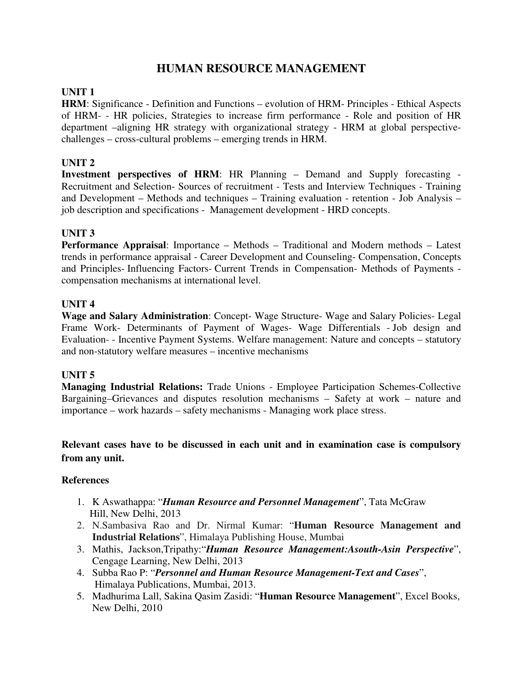# **HUMAN RESOURCE MANAGEMENT**

## **UNIT 1**

**HRM**: Significance - Definition and Functions – evolution of HRM- Principles - Ethical Aspects of HRM- - HR policies, Strategies to increase firm performance - Role and position of HR department –aligning HR strategy with organizational strategy - HRM at global perspectivechallenges – cross-cultural problems – emerging trends in HRM.

## **UNIT 2**

**Investment perspectives of HRM**: HR Planning – Demand and Supply forecasting - Recruitment and Selection- Sources of recruitment - Tests and Interview Techniques - Training and Development – Methods and techniques – Training evaluation - retention - Job Analysis – job description and specifications - Management development - HRD concepts.

## **UNIT 3**

**Performance Appraisal**: Importance – Methods – Traditional and Modern methods – Latest trends in performance appraisal - Career Development and Counseling- Compensation, Concepts and Principles- Influencing Factors- Current Trends in Compensation- Methods of Payments compensation mechanisms at international level.

## **UNIT 4**

**Wage and Salary Administration**: Concept- Wage Structure- Wage and Salary Policies- Legal Frame Work- Determinants of Payment of Wages- Wage Differentials - Job design and Evaluation- - Incentive Payment Systems. Welfare management: Nature and concepts – statutory and non-statutory welfare measures – incentive mechanisms

## **UNIT 5**

**Managing Industrial Relations:** Trade Unions - Employee Participation Schemes-Collective Bargaining–Grievances and disputes resolution mechanisms – Safety at work – nature and importance – work hazards – safety mechanisms - Managing work place stress.

## **Relevant cases have to be discussed in each unit and in examination case is compulsory from any unit.**

- 1. K Aswathappa: "*Human Resource and Personnel Management*", Tata McGraw Hill, New Delhi, 2013
- 2. N.Sambasiva Rao and Dr. Nirmal Kumar: "**Human Resource Management and Industrial Relations**", Himalaya Publishing House, Mumbai
- 3. Mathis, Jackson,Tripathy:"*Human Resource Management:Asouth-Asin Perspective*", Cengage Learning, New Delhi, 2013
- 4. Subba Rao P: "*Personnel and Human Resource Management-Text and Cases*", Himalaya Publications, Mumbai, 2013.
- 5. Madhurima Lall, Sakina Qasim Zasidi: "**Human Resource Management**", Excel Books, New Delhi, 2010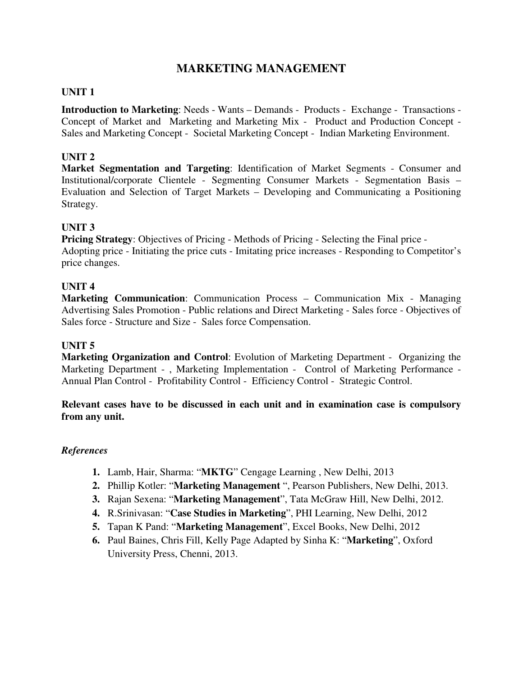# **MARKETING MANAGEMENT**

## **UNIT 1**

**Introduction to Marketing**: Needs - Wants – Demands - Products - Exchange - Transactions - Concept of Market and Marketing and Marketing Mix - Product and Production Concept - Sales and Marketing Concept - Societal Marketing Concept - Indian Marketing Environment.

## **UNIT 2**

**Market Segmentation and Targeting**: Identification of Market Segments - Consumer and Institutional/corporate Clientele - Segmenting Consumer Markets - Segmentation Basis – Evaluation and Selection of Target Markets – Developing and Communicating a Positioning Strategy.

## **UNIT 3**

**Pricing Strategy**: Objectives of Pricing - Methods of Pricing - Selecting the Final price - Adopting price - Initiating the price cuts - Imitating price increases - Responding to Competitor's price changes.

## **UNIT 4**

**Marketing Communication**: Communication Process – Communication Mix - Managing Advertising Sales Promotion - Public relations and Direct Marketing - Sales force - Objectives of Sales force - Structure and Size - Sales force Compensation.

## **UNIT 5**

**Marketing Organization and Control**: Evolution of Marketing Department - Organizing the Marketing Department - , Marketing Implementation - Control of Marketing Performance - Annual Plan Control - Profitability Control - Efficiency Control - Strategic Control.

## **Relevant cases have to be discussed in each unit and in examination case is compulsory from any unit.**

- **1.** Lamb, Hair, Sharma: "**MKTG**" Cengage Learning , New Delhi, 2013
- **2.** Phillip Kotler: "**Marketing Management** ", Pearson Publishers, New Delhi, 2013.
- **3.** Rajan Sexena: "**Marketing Management**", Tata McGraw Hill, New Delhi, 2012.
- **4.** R.Srinivasan: "**Case Studies in Marketing**", PHI Learning, New Delhi, 2012
- **5.** Tapan K Pand: "**Marketing Management**", Excel Books, New Delhi, 2012
- **6.** Paul Baines, Chris Fill, Kelly Page Adapted by Sinha K: "**Marketing**", Oxford University Press, Chenni, 2013.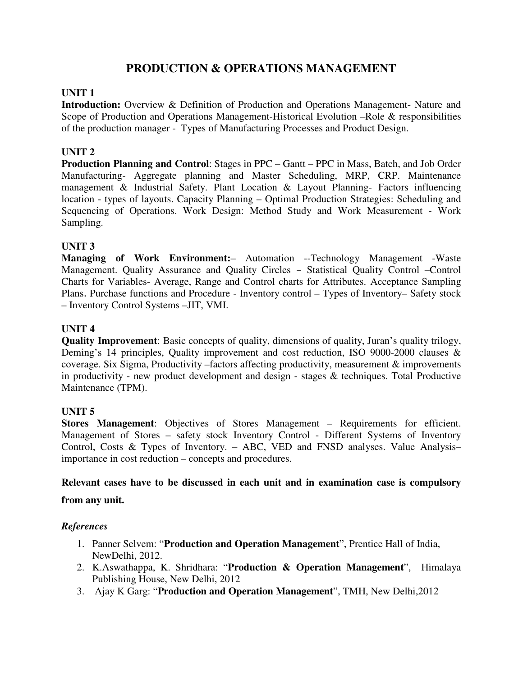# **PRODUCTION & OPERATIONS MANAGEMENT**

## **UNIT 1**

**Introduction:** Overview & Definition of Production and Operations Management- Nature and Scope of Production and Operations Management-Historical Evolution –Role & responsibilities of the production manager - Types of Manufacturing Processes and Product Design.

## **UNIT 2**

**Production Planning and Control**: Stages in PPC – Gantt – PPC in Mass, Batch, and Job Order Manufacturing- Aggregate planning and Master Scheduling, MRP, CRP. Maintenance management & Industrial Safety. Plant Location & Layout Planning- Factors influencing location - types of layouts. Capacity Planning – Optimal Production Strategies: Scheduling and Sequencing of Operations. Work Design: Method Study and Work Measurement - Work Sampling.

## **UNIT 3**

**Managing of Work Environment:**– Automation --Technology Management -Waste Management. Quality Assurance and Quality Circles – Statistical Quality Control –Control Charts for Variables- Average, Range and Control charts for Attributes. Acceptance Sampling Plans. Purchase functions and Procedure - Inventory control – Types of Inventory– Safety stock – Inventory Control Systems –JIT, VMI.

## **UNIT 4**

**Quality Improvement**: Basic concepts of quality, dimensions of quality, Juran's quality trilogy, Deming's 14 principles, Quality improvement and cost reduction, ISO 9000-2000 clauses & coverage. Six Sigma, Productivity –factors affecting productivity, measurement & improvements in productivity - new product development and design - stages & techniques. Total Productive Maintenance (TPM).

## **UNIT 5**

**Stores Management**: Objectives of Stores Management – Requirements for efficient. Management of Stores – safety stock Inventory Control - Different Systems of Inventory Control, Costs & Types of Inventory. – ABC, VED and FNSD analyses. Value Analysis– importance in cost reduction – concepts and procedures.

## **Relevant cases have to be discussed in each unit and in examination case is compulsory**

## **from any unit.**

- 1. Panner Selvem: "**Production and Operation Management**", Prentice Hall of India, NewDelhi, 2012.
- 2. K.Aswathappa, K. Shridhara: "**Production & Operation Management**", Himalaya Publishing House, New Delhi, 2012
- 3. Ajay K Garg: "**Production and Operation Management**", TMH, New Delhi,2012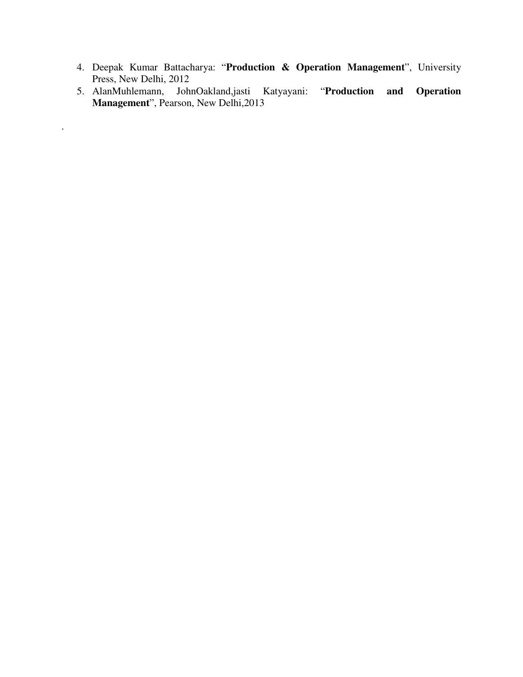- 4. Deepak Kumar Battacharya: "**Production & Operation Management**", University Press, New Delhi, 2012
- 5. AlanMuhlemann, JohnOakland,jasti Katyayani: "**Production and Operation Management**", Pearson, New Delhi,2013

.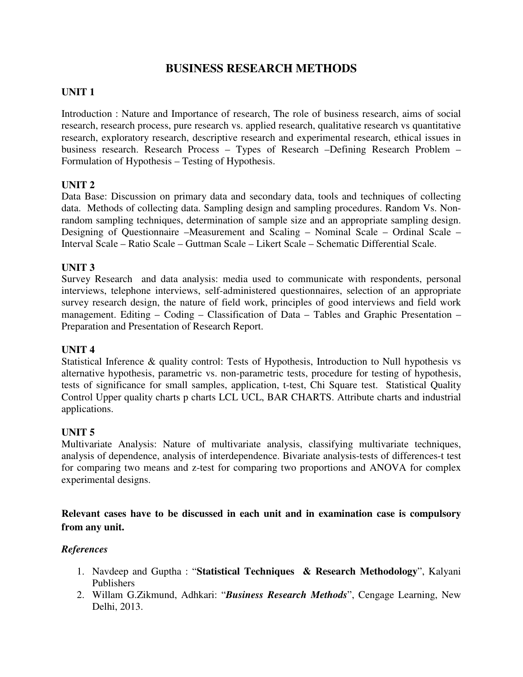# **BUSINESS RESEARCH METHODS**

## **UNIT 1**

Introduction : Nature and Importance of research, The role of business research, aims of social research, research process, pure research vs. applied research, qualitative research vs quantitative research, exploratory research, descriptive research and experimental research, ethical issues in business research. Research Process – Types of Research –Defining Research Problem – Formulation of Hypothesis – Testing of Hypothesis.

## **UNIT 2**

Data Base: Discussion on primary data and secondary data, tools and techniques of collecting data. Methods of collecting data. Sampling design and sampling procedures. Random Vs. Nonrandom sampling techniques, determination of sample size and an appropriate sampling design. Designing of Questionnaire –Measurement and Scaling – Nominal Scale – Ordinal Scale – Interval Scale – Ratio Scale – Guttman Scale – Likert Scale – Schematic Differential Scale.

## **UNIT 3**

Survey Research and data analysis: media used to communicate with respondents, personal interviews, telephone interviews, self-administered questionnaires, selection of an appropriate survey research design, the nature of field work, principles of good interviews and field work management. Editing – Coding – Classification of Data – Tables and Graphic Presentation – Preparation and Presentation of Research Report.

## **UNIT 4**

Statistical Inference & quality control: Tests of Hypothesis, Introduction to Null hypothesis vs alternative hypothesis, parametric vs. non-parametric tests, procedure for testing of hypothesis, tests of significance for small samples, application, t-test, Chi Square test. Statistical Quality Control Upper quality charts p charts LCL UCL, BAR CHARTS. Attribute charts and industrial applications.

## **UNIT 5**

Multivariate Analysis: Nature of multivariate analysis, classifying multivariate techniques, analysis of dependence, analysis of interdependence. Bivariate analysis-tests of differences-t test for comparing two means and z-test for comparing two proportions and ANOVA for complex experimental designs.

**Relevant cases have to be discussed in each unit and in examination case is compulsory from any unit.** 

- 1. Navdeep and Guptha : "**Statistical Techniques & Research Methodology**", Kalyani Publishers
- 2. Willam G.Zikmund, Adhkari: "*Business Research Methods*", Cengage Learning, New Delhi, 2013.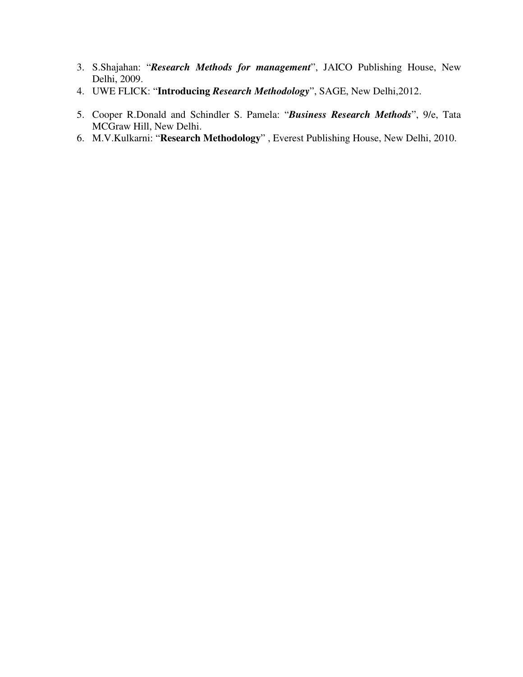- 3. S.Shajahan: "*Research Methods for management*", JAICO Publishing House, New Delhi, 2009.
- 4. UWE FLICK: "**Introducing** *Research Methodology*", SAGE, New Delhi,2012.
- 5. Cooper R.Donald and Schindler S. Pamela: "*Business Research Methods*", 9/e, Tata MCGraw Hill, New Delhi.
- 6. M.V.Kulkarni: "**Research Methodology**" , Everest Publishing House, New Delhi, 2010.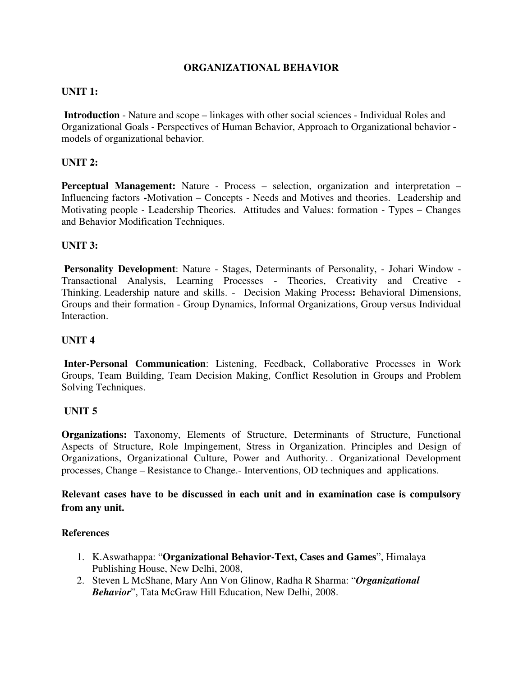## **ORGANIZATIONAL BEHAVIOR**

## **UNIT 1:**

 **Introduction** - Nature and scope – linkages with other social sciences - Individual Roles and Organizational Goals - Perspectives of Human Behavior, Approach to Organizational behavior models of organizational behavior.

## **UNIT 2:**

**Perceptual Management:** Nature - Process – selection, organization and interpretation – Influencing factors **-**Motivation – Concepts - Needs and Motives and theories. Leadership and Motivating people - Leadership Theories. Attitudes and Values: formation - Types – Changes and Behavior Modification Techniques.

## **UNIT 3:**

 **Personality Development**: Nature - Stages, Determinants of Personality, - Johari Window - Transactional Analysis, Learning Processes - Theories, Creativity and Creative - Thinking. Leadership nature and skills. - Decision Making Process**:** Behavioral Dimensions, Groups and their formation - Group Dynamics, Informal Organizations, Group versus Individual Interaction.

## **UNIT 4**

**Inter-Personal Communication**: Listening, Feedback, Collaborative Processes in Work Groups, Team Building, Team Decision Making, Conflict Resolution in Groups and Problem Solving Techniques.

## **UNIT 5**

**Organizations:** Taxonomy, Elements of Structure, Determinants of Structure, Functional Aspects of Structure, Role Impingement, Stress in Organization. Principles and Design of Organizations, Organizational Culture, Power and Authority. . Organizational Development processes, Change – Resistance to Change.- Interventions, OD techniques and applications.

**Relevant cases have to be discussed in each unit and in examination case is compulsory from any unit.** 

- 1. K.Aswathappa: "**Organizational Behavior-Text, Cases and Games**", Himalaya Publishing House, New Delhi, 2008,
- 2. Steven L McShane, Mary Ann Von Glinow, Radha R Sharma: "*Organizational Behavior*", Tata McGraw Hill Education, New Delhi, 2008.